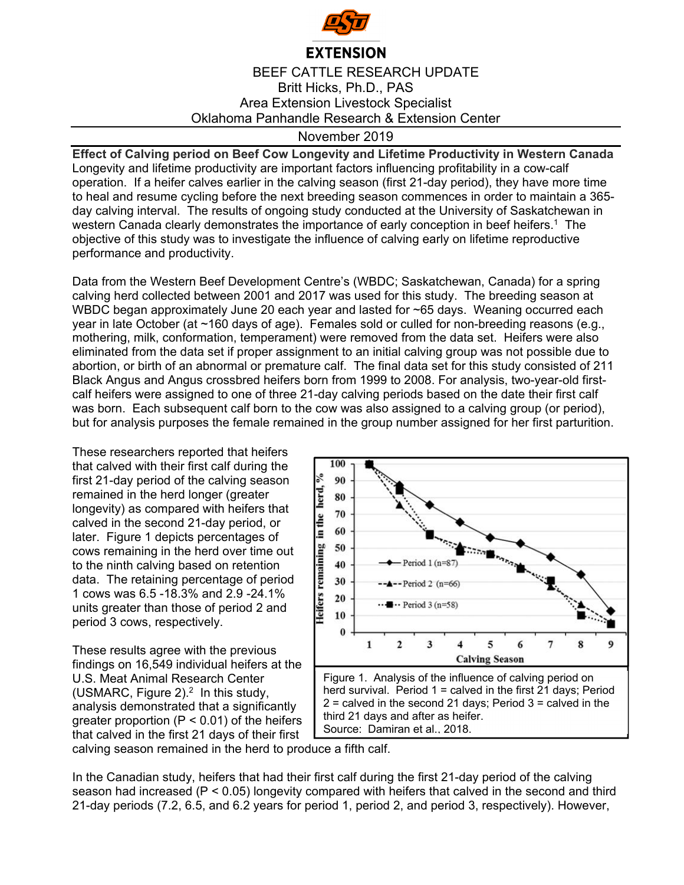

## **EXTENSION**

BEEF CATTLE RESEARCH UPDATE Britt Hicks, Ph.D., PAS Area Extension Livestock Specialist Oklahoma Panhandle Research & Extension Center

## November 2019

**Effect of Calving period on Beef Cow Longevity and Lifetime Productivity in Western Canada** Longevity and lifetime productivity are important factors influencing profitability in a cow-calf operation. If a heifer calves earlier in the calving season (first 21-day period), they have more time to heal and resume cycling before the next breeding season commences in order to maintain a 365 day calving interval. The results of ongoing study conducted at the University of Saskatchewan in western Canada clearly demonstrates the importance of early conception in beef heifers.<sup>1</sup> The objective of this study was to investigate the influence of calving early on lifetime reproductive performance and productivity.

Data from the Western Beef Development Centre's (WBDC; Saskatchewan, Canada) for a spring calving herd collected between 2001 and 2017 was used for this study. The breeding season at WBDC began approximately June 20 each year and lasted for ~65 days. Weaning occurred each year in late October (at ~160 days of age). Females sold or culled for non-breeding reasons (e.g., mothering, milk, conformation, temperament) were removed from the data set. Heifers were also eliminated from the data set if proper assignment to an initial calving group was not possible due to abortion, or birth of an abnormal or premature calf. The final data set for this study consisted of 211 Black Angus and Angus crossbred heifers born from 1999 to 2008. For analysis, two-year-old firstcalf heifers were assigned to one of three 21-day calving periods based on the date their first calf was born. Each subsequent calf born to the cow was also assigned to a calving group (or period), but for analysis purposes the female remained in the group number assigned for her first parturition.

These researchers reported that heifers that calved with their first calf during the first 21-day period of the calving season remained in the herd longer (greater longevity) as compared with heifers that calved in the second 21-day period, or later. Figure 1 depicts percentages of cows remaining in the herd over time out to the ninth calving based on retention data. The retaining percentage of period 1 cows was 6.5 -18.3% and 2.9 -24.1% units greater than those of period 2 and period 3 cows, respectively.

These results agree with the previous findings on 16,549 individual heifers at the U.S. Meat Animal Research Center (USMARC, Figure  $2$ ).<sup>2</sup> In this study, analysis demonstrated that a significantly greater proportion  $(P < 0.01)$  of the heifers that calved in the first 21 days of their first





calving season remained in the herd to produce a fifth calf.

In the Canadian study, heifers that had their first calf during the first 21-day period of the calving season had increased (P < 0.05) longevity compared with heifers that calved in the second and third 21-day periods (7.2, 6.5, and 6.2 years for period 1, period 2, and period 3, respectively). However,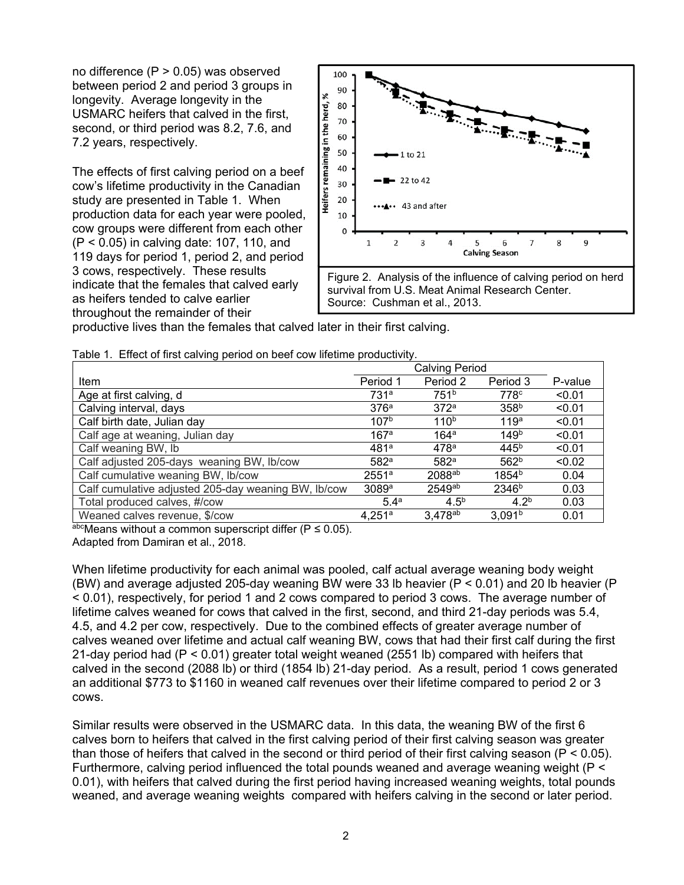no difference (P > 0.05) was observed between period 2 and period 3 groups in longevity. Average longevity in the USMARC heifers that calved in the first, second, or third period was 8.2, 7.6, and 7.2 years, respectively.

The effects of first calving period on a beef cow's lifetime productivity in the Canadian study are presented in Table 1. When production data for each year were pooled, cow groups were different from each other (P < 0.05) in calving date: 107, 110, and 119 days for period 1, period 2, and period 3 cows, respectively. These results indicate that the females that calved early as heifers tended to calve earlier throughout the remainder of their



productive lives than the females that calved later in their first calving.

|  | Table 1. Effect of first calving period on beef cow lifetime productivity. |  |  |
|--|----------------------------------------------------------------------------|--|--|
|  |                                                                            |  |  |

|                                                     | <b>Calving Period</b> |                  |                    |         |
|-----------------------------------------------------|-----------------------|------------------|--------------------|---------|
| Item                                                | Period 1              | Period 2         | Period 3           | P-value |
| Age at first calving, d                             | 731a                  | 751 <sup>b</sup> | 778 <sup>c</sup>   | < 0.01  |
| Calving interval, days                              | 376 <sup>a</sup>      | 372 <sup>a</sup> | 358 <sup>b</sup>   | < 0.01  |
| Calf birth date, Julian day                         | 107 <sup>b</sup>      | 110 <sup>b</sup> | 119 <sup>a</sup>   | < 0.01  |
| Calf age at weaning, Julian day                     | 167a                  | 164 <sup>a</sup> | 149 <sup>b</sup>   | < 0.01  |
| Calf weaning BW, lb                                 | 481a                  | 478a             | 445 <sup>b</sup>   | < 0.01  |
| Calf adjusted 205-days weaning BW, lb/cow           | 582 <sup>a</sup>      | 582 <sup>a</sup> | 562 <sup>b</sup>   | < 0.02  |
| Calf cumulative weaning BW, lb/cow                  | 2551a                 | 2088ab           | 1854 <sup>b</sup>  | 0.04    |
| Calf cumulative adjusted 205-day weaning BW, Ib/cow | 3089a                 | 2549ab           | 2346 <sup>b</sup>  | 0.03    |
| Total produced calves, #/cow                        | 5.4 <sup>a</sup>      | 4.5 <sup>b</sup> | $4.2^{b}$          | 0.03    |
| Weaned calves revenue, \$/cow                       | 4.251a                | $3,478^{ab}$     | 3.091 <sup>b</sup> | 0.01    |

abcMeans without a common superscript differ ( $P \le 0.05$ ).

Adapted from Damiran et al., 2018.

When lifetime productivity for each animal was pooled, calf actual average weaning body weight (BW) and average adjusted 205-day weaning BW were 33 lb heavier (P < 0.01) and 20 lb heavier (P < 0.01), respectively, for period 1 and 2 cows compared to period 3 cows. The average number of lifetime calves weaned for cows that calved in the first, second, and third 21-day periods was 5.4, 4.5, and 4.2 per cow, respectively. Due to the combined effects of greater average number of calves weaned over lifetime and actual calf weaning BW, cows that had their first calf during the first 21-day period had (P < 0.01) greater total weight weaned (2551 lb) compared with heifers that calved in the second (2088 lb) or third (1854 lb) 21-day period. As a result, period 1 cows generated an additional \$773 to \$1160 in weaned calf revenues over their lifetime compared to period 2 or 3 cows.

Similar results were observed in the USMARC data. In this data, the weaning BW of the first 6 calves born to heifers that calved in the first calving period of their first calving season was greater than those of heifers that calved in the second or third period of their first calving season ( $P < 0.05$ ). Furthermore, calving period influenced the total pounds weaned and average weaning weight (P < 0.01), with heifers that calved during the first period having increased weaning weights, total pounds weaned, and average weaning weights compared with heifers calving in the second or later period.